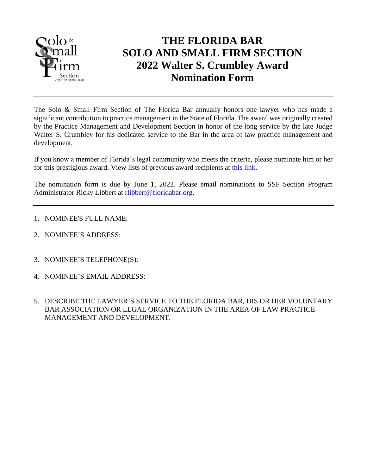

## **THE FLORIDA BAR SOLO AND SMALL FIRM SECTION 2022 Walter S. Crumbley Award Nomination Form**

The Solo & Small Firm Section of The Florida Bar annually honors one lawyer who has made a significant contribution to practice management in the State of Florida. The award was originally created by the Practice Management and Development Section in honor of the long service by the late Judge Walter S. Crumbley for his dedicated service to the Bar in the area of law practice management and development.

If you know a member of Florida's legal community who meets the criteria, please nominate him or her for this prestigious award. View lists of previous award recipients at [this link.](http://www.flsolosmallfirm.org/awards-and-history.php)

The nomination form is due by June 1, 2022. Please email nominations to SSF Section Program Administrator Ricky Libbert at [rlibbert@floridabar.org.](mailto:rlibbert@floridabar.org)

- 1. NOMINEE'S FULL NAME:
- 2. NOMINEE'S ADDRESS:
- 3. NOMINEE'S TELEPHONE(S):
- 4. NOMINEE'S EMAIL ADDRESS:
- 5. DESCRIBE THE LAWYER'S SERVICE TO THE FLORIDA BAR, HIS OR HER VOLUNTARY BAR ASSOCIATION OR LEGAL ORGANIZATION IN THE AREA OF LAW PRACTICE MANAGEMENT AND DEVELOPMENT.